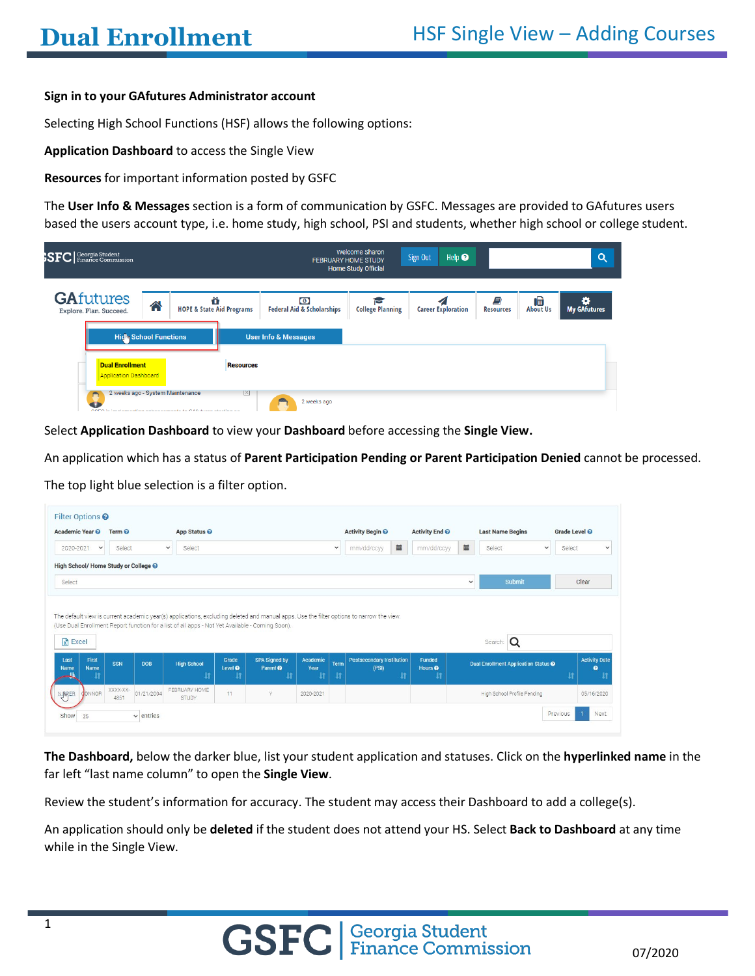## **Sign in to your GAfutures Administrator account**

Selecting High School Functions (HSF) allows the following options:

**Application Dashboard** to access the Single View

**Resources** for important information posted by GSFC

The **User Info & Messages** section is a form of communication by GSFC. Messages are provided to GAfutures users based the users account type, i.e. home study, high school, PSI and students, whether high school or college student.

| $\text{SFC}$   Georgia Student                                              |                              |                                                            |                  | <b>FEBRUARY HOME STUDY</b>                         | <b>Welcome Sharon</b><br><b>Home Study Official</b> | $\text{Help} \odot$<br>Sign Out |                                                        |  | Q                        |
|-----------------------------------------------------------------------------|------------------------------|------------------------------------------------------------|------------------|----------------------------------------------------|-----------------------------------------------------|---------------------------------|--------------------------------------------------------|--|--------------------------|
| <b>GAfutures</b><br>Explore. Plan. Succeed.                                 | 合                            | <b>HOPE &amp; State Aid Programs</b>                       |                  | $\bullet$<br><b>Federal Aid &amp; Scholarships</b> | <b>College Planning</b>                             | <b>Career Exploration</b>       | Ø<br>$\bigoplus_{\text{About Us}}$<br><b>Resources</b> |  | o<br><b>My GAfutures</b> |
| <b>Dual Enrollment</b>                                                      | <b>High School Functions</b> |                                                            | <b>Resources</b> | <b>User Info &amp; Messages</b>                    |                                                     |                                 |                                                        |  |                          |
| Application Dashboard<br>2 weeks ago - System Maintenance<br>$\blacksquare$ |                              | CCEC in implementing enhancements to CAA turns starting on | X                | 2 weeks ago                                        |                                                     |                                 |                                                        |  |                          |

Select **Application Dashboard** to view your **Dashboard** before accessing the **Single View.**

An application which has a status of **Parent Participation Pending or Parent Participation Denied** cannot be processed.

The top light blue selection is a filter option.

| Academic Year @                                                                        | Term <sup>2</sup> |            |              | App Status <sup>O</sup> |                                  |                                                                                                                                                                                                                                             |                  |                    | <b>Activity Begin @</b>                   |    | Activity End @                            |              | <b>Last Name Begins</b>              |              | Grade Level <sup>@</sup> |                                   |
|----------------------------------------------------------------------------------------|-------------------|------------|--------------|-------------------------|----------------------------------|---------------------------------------------------------------------------------------------------------------------------------------------------------------------------------------------------------------------------------------------|------------------|--------------------|-------------------------------------------|----|-------------------------------------------|--------------|--------------------------------------|--------------|--------------------------|-----------------------------------|
| 2020-2021<br>$\checkmark$                                                              | Select            |            | $\checkmark$ | Select                  |                                  |                                                                                                                                                                                                                                             |                  | $\checkmark$       | mm/dd/ccyy                                | 篇  | mm/dd/ccyy                                | 苗            | <b>Select</b>                        | $\checkmark$ | Select                   |                                   |
| High School/ Home Study or College @                                                   |                   |            |              |                         |                                  |                                                                                                                                                                                                                                             |                  |                    |                                           |    |                                           |              |                                      |              |                          |                                   |
| Select                                                                                 |                   |            |              |                         |                                  |                                                                                                                                                                                                                                             |                  |                    |                                           |    |                                           | $\checkmark$ | Submit                               |              |                          | Clear                             |
|                                                                                        |                   |            |              |                         |                                  | The default view is current academic year(s) applications, excluding deleted and manual apps. Use the filter options to narrow the view.<br>(Use Dual Enrollment Report function for a list of all apps - Not Yet Available - Coming Soon). |                  |                    |                                           |    |                                           |              |                                      |              |                          |                                   |
|                                                                                        |                   |            |              |                         |                                  |                                                                                                                                                                                                                                             |                  |                    |                                           |    |                                           |              | Q<br>Search:                         |              |                          |                                   |
| $x$ Excel<br>First<br>Last<br>Name<br>Name<br><b>The Second Second</b><br>$\mathbf{H}$ | SSN               | <b>DOB</b> |              | <b>High School</b><br>Ħ | Grade<br>Level <sup>O</sup><br>Ħ | <b>SPA Signed by</b><br>Parent <sup>®</sup><br>lî                                                                                                                                                                                           | Academic<br>Year | <b>Term</b><br>Jt. | <b>Postsecondary Institution</b><br>(PSI) | lt | <b>Funded</b><br>Hours <sup>6</sup><br>11 |              | Dual Enrollment Application Status @ |              | $\ddot{\mathbf{u}}$      | <b>Activity Date</b><br>$\bullet$ |

**The Dashboard,** below the darker blue, list your student application and statuses. Click on the **hyperlinked name** in the far left "last name column" to open the **Single View**.

Review the student's information for accuracy. The student may access their Dashboard to add a college(s).

An application should only be **deleted** if the student does not attend your HS. Select **Back to Dashboard** at any time while in the Single View.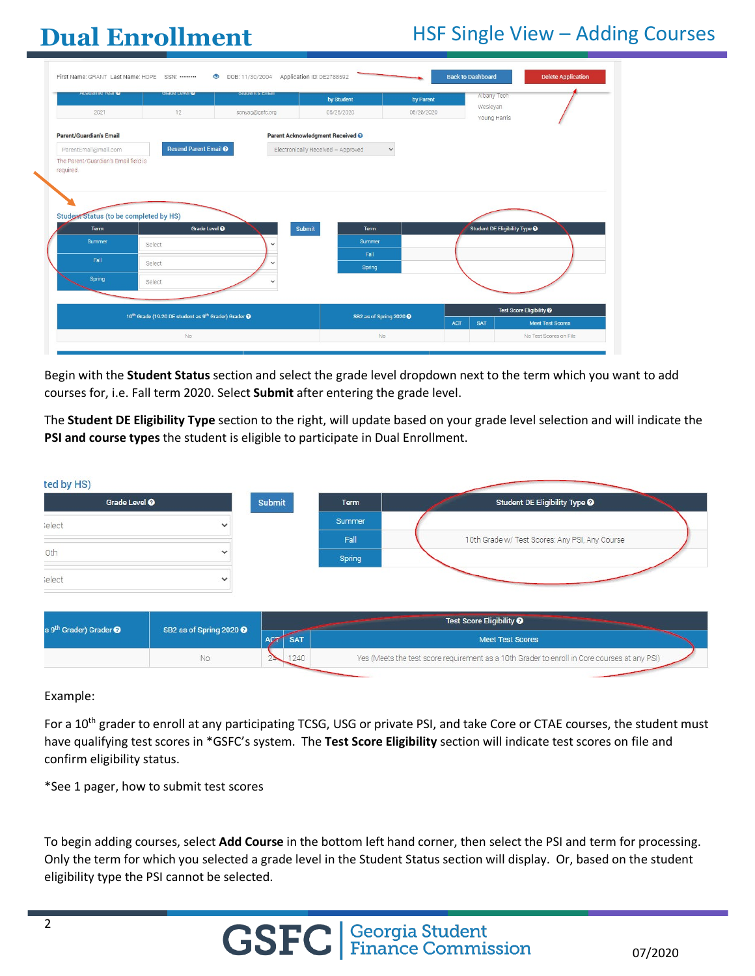| Academic Year of                       | <b>Grade Lever of</b>                                                                   | Student's Email | by Student                         | by Parent    |            | Albany Tech                   |                                     |
|----------------------------------------|-----------------------------------------------------------------------------------------|-----------------|------------------------------------|--------------|------------|-------------------------------|-------------------------------------|
| 2021                                   | 12                                                                                      | sonyag@gsfc.org | 05/26/2020                         | 05/26/2020   |            | Wesleyan<br>Young Harris      |                                     |
| <b>Parent/Guardian's Email</b>         |                                                                                         |                 | Parent Acknowledgment Received @   |              |            |                               |                                     |
| ParentEmail@mail.com                   | Resend Parent Email @                                                                   |                 | Electronically Received - Approved | $\checkmark$ |            |                               |                                     |
| The Parent/Guardian's Email field is   |                                                                                         |                 |                                    |              |            |                               |                                     |
|                                        |                                                                                         |                 |                                    |              |            |                               |                                     |
|                                        |                                                                                         |                 |                                    |              |            |                               |                                     |
|                                        |                                                                                         |                 |                                    |              |            |                               |                                     |
| Term<br>Summer                         | Grade Level <sup>O</sup>                                                                |                 | Submit<br><b>Term</b><br>Summer    |              |            | Student DE Eligibility Type @ |                                     |
|                                        | Select                                                                                  | $\checkmark$    | Fall                               |              |            |                               |                                     |
| Fall                                   | Select                                                                                  | $\checkmark$    | Spring                             |              |            |                               |                                     |
| Spring                                 | Select                                                                                  | $\checkmark$    |                                    |              |            |                               |                                     |
|                                        |                                                                                         |                 |                                    |              |            |                               | Test Score Eligibility <sup>@</sup> |
| Student Status (to be completed by HS) | 10 <sup>th</sup> Grade (19-20 DE student as 9 <sup>th</sup> Grader) Grader <sup>O</sup> |                 | SB2 as of Spring 2020 <sup>O</sup> |              | <b>ACT</b> | <b>SAT</b>                    | <b>Meet Test Scores</b>             |

Begin with the **Student Status** section and select the grade level dropdown next to the term which you want to add courses for, i.e. Fall term 2020. Select **Submit** after entering the grade level.

The **Student DE Eligibility Type** section to the right, will update based on your grade level selection and will indicate the **PSI and course types** the student is eligible to participate in Dual Enrollment.

| ted by HS)                                    |                                    |                   |        |                                                |
|-----------------------------------------------|------------------------------------|-------------------|--------|------------------------------------------------|
| Grade Level <sup>O</sup>                      |                                    | Submit            | Term   | Student DE Eligibility Type <sup>O</sup>       |
| ielect                                        | $\checkmark$                       |                   | Summer |                                                |
|                                               |                                    |                   | Fall   | 10th Grade w/ Test Scores: Any PSI, Any Course |
| Oth                                           | $\checkmark$                       |                   | Spring |                                                |
| ielect                                        | $\checkmark$                       |                   |        |                                                |
| s 9 <sup>th</sup> Grader) Grader <sup>O</sup> | SB2 as of Spring 2020 <sup>O</sup> |                   |        | Test Score Eligibility <sup>O</sup>            |
|                                               |                                    |                   |        |                                                |
|                                               |                                    | <b>SAT</b><br>ACT |        | <b>Meet Test Scores</b>                        |

Example:

For a 10<sup>th</sup> grader to enroll at any participating TCSG, USG or private PSI, and take Core or CTAE courses, the student must have qualifying test scores in \*GSFC's system. The **Test Score Eligibility** section will indicate test scores on file and confirm eligibility status.

\*See 1 pager, how to submit test scores

To begin adding courses, select **Add Course** in the bottom left hand corner, then select the PSI and term for processing. Only the term for which you selected a grade level in the Student Status section will display. Or, based on the student eligibility type the PSI cannot be selected.